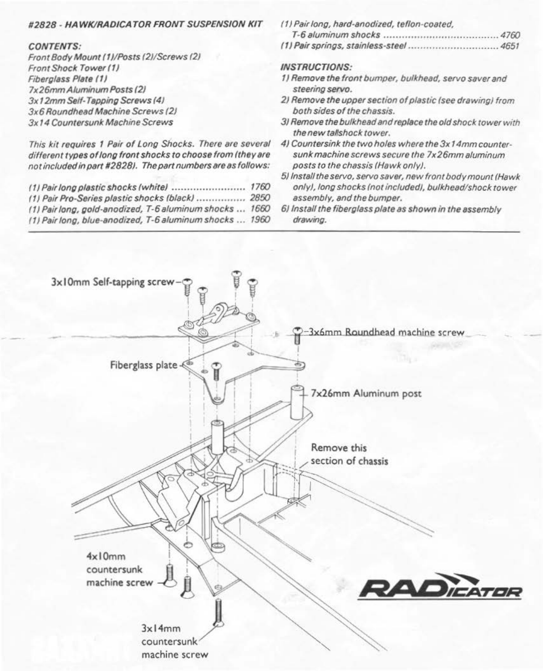## #2828 - HA WKIRADICATOR FRONT SUSPENSION KIT

## CONTENTS:

Front Body Mount (1)/Posts (2)/Screws (2) Front Shock Tower (1) Fibergless Plete *tt* <sup>J</sup> 7x 26mmAiuminum Posts f2J 3x12mm Self-Tapping Screws (4) 3x6 Roundhead Machine Screws (2) 3x 14 Countersunk Machine Screws

This kit requires 1 Pair of Long Shocks. There are several different types of long front shocks to choose from (they are not included in part #2828). The part numbers are as follows:

| (1) Pair Pro-Series plastic shocks (black)  2850        |  |
|---------------------------------------------------------|--|
| (1) Pair long, gold-anodized, T-6 aluminum shocks  1660 |  |
| (1) Pair long, blue-anodized, T-6 aluminum shocks  1960 |  |

(1) Pair long, hard-anodized, teflon-coated, T-6 aluminum shocks 000000 000000 00000000000000 00000000 0000 4760 (1) Pair springs, stainless-steel 00000000 oooooooooo OOOOOOoooo•· 4651

## INSTRUCTIONS:

- 1) Remove the front bumper, bulkhead, servo saver and steering servo.
- 2) Remove the upper section of plastic (see drawing) from both sides of the chassis.
- 3J Remove the bulkhead and replace the old shock tower with the new tallshock tower.
- 4) Countersink the two holes where the 3x 14mm countersunk machine screws secure the 7x26mm aluminum posts to the chassis (Hawk only).
- 5) Install the servo, servo saver, new front body mount (Hawk only), long shocks (not included), bulkhead/shock tower assembly, and the bumper.
- 6) Install the fiberglass plate as shown in the assembly drawing.